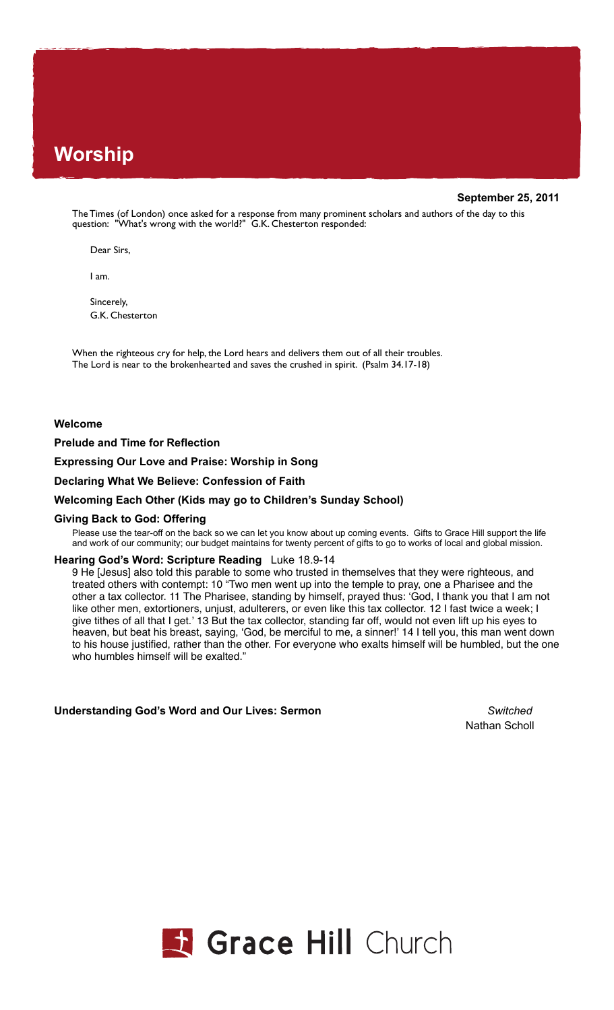# **Worship**

## **September 25, 2011**

The Times (of London) once asked for a response from many prominent scholars and authors of the day to this question: "What's wrong with the world?" G.K. Chesterton responded:

Dear Sirs,

I am.

Sincerely, G.K. Chesterton

When the righteous cry for help, the Lord hears and delivers them out of all their troubles. The Lord is near to the brokenhearted and saves the crushed in spirit. (Psalm 34.17-18)

## **Welcome**

**Prelude and Time for Reflection**

**Expressing Our Love and Praise: Worship in Song** 

**Declaring What We Believe: Confession of Faith** 

## **Welcoming Each Other (Kids may go to Children's Sunday School)**

#### **Giving Back to God: Offering**

Please use the tear-off on the back so we can let you know about up coming events. Gifts to Grace Hill support the life and work of our community; our budget maintains for twenty percent of gifts to go to works of local and global mission.

#### **Hearing God's Word: Scripture Reading** Luke 18.9-14

9 He [Jesus] also told this parable to some who trusted in themselves that they were righteous, and treated others with contempt: 10 "Two men went up into the temple to pray, one a Pharisee and the other a tax collector. 11 The Pharisee, standing by himself, prayed thus: ʻGod, I thank you that I am not like other men, extortioners, unjust, adulterers, or even like this tax collector. 12 I fast twice a week; I give tithes of all that I get.' 13 But the tax collector, standing far off, would not even lift up his eyes to heaven, but beat his breast, saying, ʻGod, be merciful to me, a sinner!' 14 I tell you, this man went down to his house justified, rather than the other. For everyone who exalts himself will be humbled, but the one who humbles himself will be exalted."

**Understanding God's Word and Our Lives: Sermon** *Switched*

Nathan Scholl